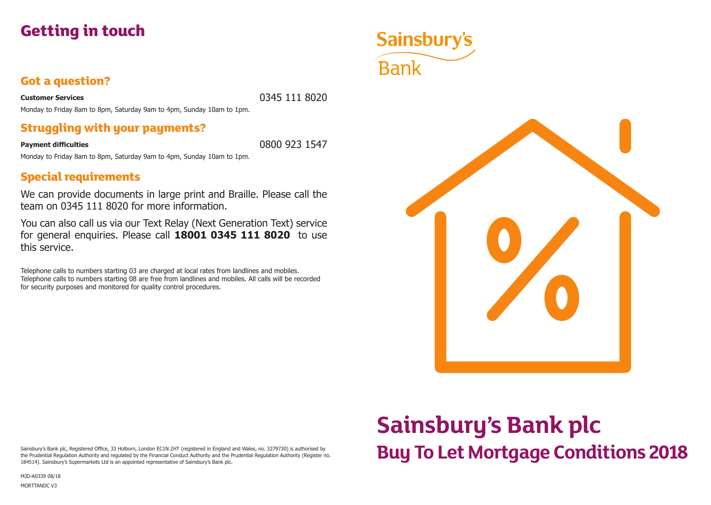

### **Got a question?**

**Customer Services** 0345 111 8020

Monday to Friday 8am to 8pm, Saturday 9am to 4pm, Sunday 10am to 1pm.

### **Struggling with your payments?**

**Payment difficulties** 0800 923 1547

Monday to Friday 8am to 8pm, Saturday 9am to 4pm, Sunday 10am to 1pm.

## **Special requirements**

We can provide documents in large print and Braille. Please call the team on 0345 111 8020 for more information.

You can also call us via our Text Relay (Next Generation Text) service for general enquiries. Please call **18001 0345 111 8020** to use this service.

Telephone calls to numbers starting 03 are charged at local rates from landlines and mobiles. Telephone calls to numbers starting 08 are free from landlines and mobiles. All calls will be recorded for security purposes and monitored for quality control procedures.



**Buy To Let Mortgage Conditions 2018**

**Sainsbury's Bank plc**

#### Sainsbury's Bank plc, Registered Office, 33 Holborn, London EC1N 2HT (registered in England and Wales, no. 3279730) is authorised by the Prudential Regulation Authority and regulated by the Financial Conduct Authority and the Prudential Regulation Authority (Register no. 184514). Sainsbury's Supermarkets Ltd is an appointed representative of Sainsbury's Bank plc.

MJD-A0339 08/18

MORTTANDC V3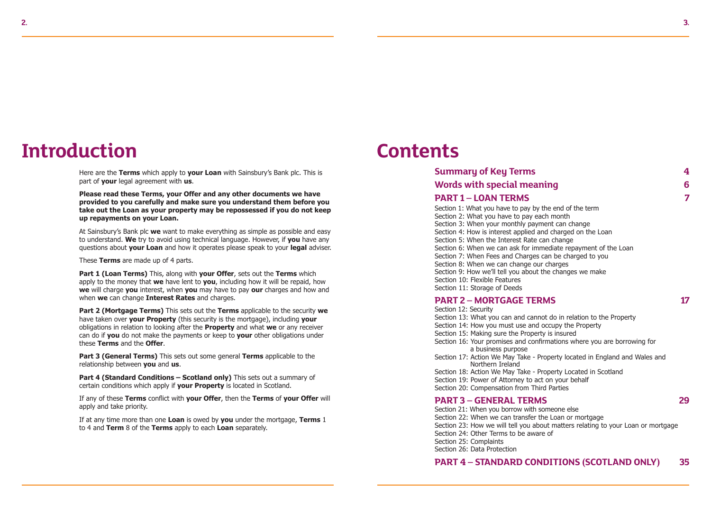## **Introduction**

Here are the **Terms** which apply to **your Loan** with Sainsbury's Bank plc. This is part of **your** legal agreement with **us**.

**Please read these Terms, your Offer and any other documents we have provided to you carefully and make sure you understand them before you take out the Loan as your property may be repossessed if you do not keep up repayments on your Loan.**

At Sainsbury's Bank plc **we** want to make everything as simple as possible and easy to understand. **We** try to avoid using technical language. However, if **you** have any questions about **your Loan** and how it operates please speak to your **legal** adviser.

These **Terms** are made up of 4 parts.

**Part 1 (Loan Terms)** This, along with **your Offer**, sets out the **Terms** which apply to the money that **we** have lent to **you**, including how it will be repaid, how **we** will charge **you** interest, when **you** may have to pay **our** charges and how and when **we** can change **Interest Rates** and charges.

**Part 2 (Mortgage Terms)** This sets out the **Terms** applicable to the security **we** have taken over **your Property** (this security is the mortgage), including **your** obligations in relation to looking after the **Property** and what **we** or any receiver can do if **you** do not make the payments or keep to **your** other obligations under these **Terms** and the **Offer**.

**Part 3 (General Terms)** This sets out some general **Terms** applicable to the relationship between **you** and **us**.

**Part 4 (Standard Conditions – Scotland only)** This sets out a summary of certain conditions which apply if **your Property** is located in Scotland.

If any of these **Terms** conflict with **your Offer**, then the **Terms** of **your Offer** will apply and take priority.

If at any time more than one **Loan** is owed by **you** under the mortgage, **Terms** 1 to 4 and **Term** 8 of the **Terms** apply to each **Loan** separately.

## **Contents**

| <b>Summary of Key Terms</b>                                    | 4 |
|----------------------------------------------------------------|---|
| <b>Words with special meaning</b>                              | 6 |
| <b>PART 1 - LOAN TERMS</b>                                     | 7 |
| Section 1: What you have to pay by the end of the term         |   |
| Section 2: What you have to pay each month                     |   |
| Section 3: When your monthly payment can change                |   |
| Section 4: How is interest applied and charged on the Loan     |   |
| Section 5: When the Interest Rate can change                   |   |
| Section 6: When we can ask for immediate repayment of the Loan |   |
| Section 7: When Fees and Charges can be charged to you         |   |
| Section 8: When we can change our charges                      |   |
| Section 9: How we'll tell you about the changes we make        |   |
| Section 10: Flexible Features                                  |   |

#### **PART 2 – MORTGAGE TERMS 17**

Section 11: Storage of Deeds

Section 12: Security Section 13: What you can and cannot do in relation to the Property Section 14: How you must use and occupy the Property Section 15: Making sure the Property is insured Section 16: Your promises and confirmations where you are borrowing for a business purpose Section 17: Action We May Take - Property located in England and Wales and Northern Ireland Section 18: Action We May Take - Property Located in Scotland Section 19: Power of Attorney to act on your behalf Section 20: Compensation from Third Parties

### **PART 3 – GENERAL TERMS 29**

Section 21: When you borrow with someone else Section 22: When we can transfer the Loan or mortgage Section 23: How we will tell you about matters relating to your Loan or mortgage Section 24: Other Terms to be aware of Section 25: Complaints Section 26: Data Protection

### **PART 4 – STANDARD CONDITIONS (SCOTLAND ONLY) 35**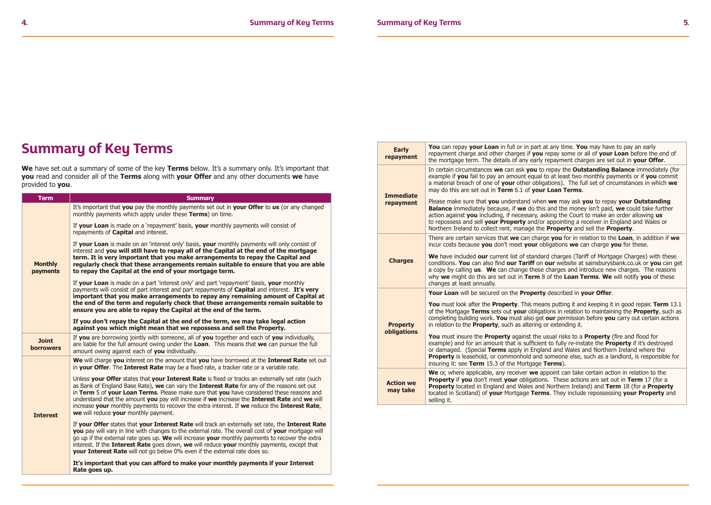## **Summary of Key Terms**

We have set out a summary of some of the key Terms below. It's a summary only. It's important that **you** read and consider all of the **Terms** along with **your Offer** and any other documents **we** have provided to **you**.

| <b>Term</b>                      | <b>Summary</b>                                                                                                                                                                                                                                                                                                                                                                                                                                                                                                                         |
|----------------------------------|----------------------------------------------------------------------------------------------------------------------------------------------------------------------------------------------------------------------------------------------------------------------------------------------------------------------------------------------------------------------------------------------------------------------------------------------------------------------------------------------------------------------------------------|
| <b>Monthly</b><br>payments       | It's important that you pay the monthly payments set out in your Offer to us (or any changed<br>monthly payments which apply under these <b>Terms</b> ) on time.                                                                                                                                                                                                                                                                                                                                                                       |
|                                  | If your Loan is made on a 'repayment' basis, your monthly payments will consist of<br>repayments of <b>Capital</b> and interest.                                                                                                                                                                                                                                                                                                                                                                                                       |
|                                  | If your Loan is made on an 'interest only' basis, your monthly payments will only consist of<br>interest and you will still have to repay all of the Capital at the end of the mortgage<br>term. It is very important that you make arrangements to repay the Capital and<br>requiarly check that these arrangements remain suitable to ensure that you are able<br>to repay the Capital at the end of your mortgage term.                                                                                                             |
|                                  | If vour Loan is made on a part 'interest only' and part 'repayment' basis, vour monthly<br>payments will consist of part interest and part repayments of Capital and interest. It's very<br>important that you make arrangements to repay any remaining amount of Capital at<br>the end of the term and regularly check that these arrangements remain suitable to<br>ensure you are able to repay the Capital at the end of the term.                                                                                                 |
|                                  | If you don't repay the Capital at the end of the term, we may take legal action<br>against you which might mean that we repossess and sell the Property.                                                                                                                                                                                                                                                                                                                                                                               |
| <b>Joint</b><br><b>borrowers</b> | If you are borrowing jointly with someone, all of you together and each of you individually,<br>are liable for the full amount owing under the Loan. This means that we can pursue the full<br>amount owing against each of you individually.                                                                                                                                                                                                                                                                                          |
| <b>Interest</b>                  | We will charge you interest on the amount that you have borrowed at the Interest Rate set out<br>in your Offer. The Interest Rate may be a fixed rate, a tracker rate or a variable rate.                                                                                                                                                                                                                                                                                                                                              |
|                                  | Unless your Offer states that your Interest Rate is fixed or tracks an externally set rate (such<br>as Bank of England Base Rate), we can vary the Interest Rate for any of the reasons set out<br>in Term 5 of your Loan Terms. Please make sure that you have considered these reasons and<br>understand that the amount you pay will increase if we increase the Interest Rate and we will<br>increase your monthly payments to recover the extra interest. If we reduce the Interest Rate,<br>we will reduce your monthly payment. |
|                                  | If your Offer states that your Interest Rate will track an externally set rate, the Interest Rate<br><b>vou</b> pay will vary in line with changes to the external rate. The overall cost of <b>vour</b> mortgage will<br>go up if the external rate goes up. We will increase your monthly payments to recover the extra<br>interest. If the <b>Interest Rate</b> goes down, we will reduce your monthly payments, except that<br><b>your Interest Rate</b> will not go below 0% even if the external rate does so.                   |
|                                  | It's important that you can afford to make your monthly payments if your Interest<br>Rate goes up.                                                                                                                                                                                                                                                                                                                                                                                                                                     |

| <b>Early</b><br>repayment      | You can repay your Loan in full or in part at any time. You may have to pay an early<br>repayment charge and other charges if you repay some or all of your Loan before the end of<br>the mortgage term. The details of any early repayment charges are set out in your Offer.                                                                                                                                                                                                  |
|--------------------------------|---------------------------------------------------------------------------------------------------------------------------------------------------------------------------------------------------------------------------------------------------------------------------------------------------------------------------------------------------------------------------------------------------------------------------------------------------------------------------------|
| <b>Immediate</b><br>repayment  | In certain circumstances we can ask you to repay the Outstanding Balance immediately (for<br>example if you fail to pay an amount equal to at least two monthly payments or if you commit<br>a material breach of one of your other obligations). The full set of circumstances in which we<br>may do this are set out in Term 6.1 of your Loan Terms.                                                                                                                          |
|                                | Please make sure that you understand when we may ask you to repay your Outstanding<br><b>Balance</b> immediately because, if we do this and the money isn't paid, we could take further<br>action against you including, if necessary, asking the Court to make an order allowing us<br>to repossess and sell your Property and/or appointing a receiver in England and Wales or<br>Northern Ireland to collect rent, manage the <b>Property</b> and sell the <b>Property</b> . |
| <b>Charges</b>                 | There are certain services that we can charge you for in relation to the Loan, in addition if we<br>incur costs because you don't meet your obligations we can charge you for these.                                                                                                                                                                                                                                                                                            |
|                                | We have included our current list of standard charges (Tariff of Mortgage Charges) with these<br>conditions. You can also find our Tariff on our website at sainsburysbank.co.uk or you can get<br>a copy by calling <b>us. We</b> can change these charges and introduce new charges. The reasons<br>why we might do this are set out in Term 8 of the Loan Terms. We will notify you of these<br>changes at least annually.                                                   |
|                                | Your Loan will be secured on the Property described in your Offer.                                                                                                                                                                                                                                                                                                                                                                                                              |
| <b>Property</b><br>obligations | You must look after the <b>Property</b> . This means putting it and keeping it in good repair. Term 13.1<br>of the Mortgage Terms sets out your obligations in relation to maintaining the Property, such as<br>completing building work. You must also get our permission before you carry out certain actions<br>in relation to the <b>Property</b> , such as altering or extending it.                                                                                       |
|                                | <b>You</b> must insure the <b>Property</b> against the usual risks to a <b>Property</b> (fire and flood for<br>example) and for an amount that is sufficient to fully re-instate the <b>Property</b> if it's destroyed<br>or damaged. (Special Terms apply in England and Wales and Northern Ireland where the<br><b>Property</b> is leasehold, or commonhold and someone else, such as a landlord, is responsible for<br>insuring it: see Term 15.3 of the Mortgage Terms).    |
| <b>Action we</b><br>may take   | We or, where applicable, any receiver we appoint can take certain action in relation to the<br><b>Property if you</b> don't meet your obligations. These actions are set out in Term 17 (for a<br><b>Property</b> located in England and Wales and Northern Ireland) and Term 18 (for a Property<br>located in Scotland) of your Mortgage Terms. They include repossessing your Property and<br>selling it.                                                                     |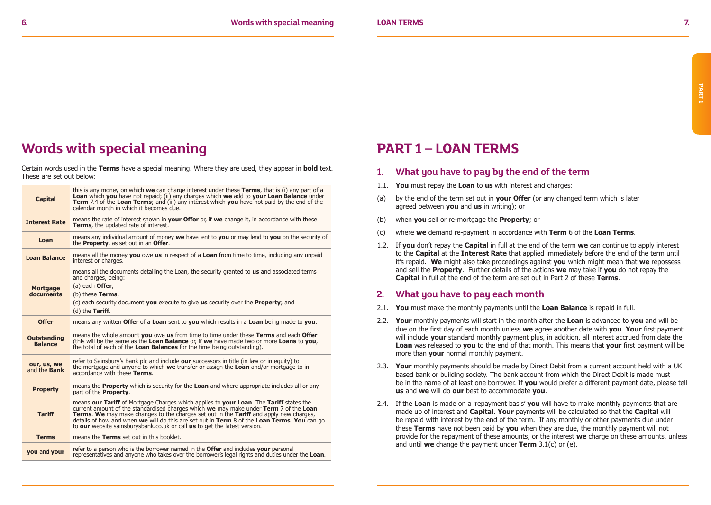## **Words with special meaning**

Certain words used in the **Terms** have a special meaning. Where they are used, they appear in **bold** text. These are set out below:

| <b>Capital</b>                       | this is any money on which we can charge interest under these Terms, that is (i) any part of a<br>Loan which you have not repaid; (ii) any charges which we add to your Loan Balance under<br><b>Term</b> 7.4 of the Loan Terms; and (iii) any interest which you have not paid by the end of the<br>calendar month in which it becomes due.                                                                                                                          |
|--------------------------------------|-----------------------------------------------------------------------------------------------------------------------------------------------------------------------------------------------------------------------------------------------------------------------------------------------------------------------------------------------------------------------------------------------------------------------------------------------------------------------|
| <b>Interest Rate</b>                 | means the rate of interest shown in <b>your Offer</b> or, if we change it, in accordance with these<br>Terms, the updated rate of interest.                                                                                                                                                                                                                                                                                                                           |
| Loan                                 | means any individual amount of money we have lent to you or may lend to you on the security of<br>the <b>Property</b> , as set out in an <b>Offer</b> .                                                                                                                                                                                                                                                                                                               |
| <b>Loan Balance</b>                  | means all the money you owe us in respect of a Loan from time to time, including any unpaid<br>interest or charges.                                                                                                                                                                                                                                                                                                                                                   |
| <b>Mortgage</b><br>documents         | means all the documents detailing the Loan, the security granted to <b>us</b> and associated terms<br>and charges, being:<br>(a) each <b>Offer</b> ;<br>(b) these Terms;<br>(c) each security document you execute to give us security over the <b>Property</b> ; and<br>$(d)$ the Tariff.                                                                                                                                                                            |
| <b>Offer</b>                         | means any written Offer of a Loan sent to you which results in a Loan being made to you.                                                                                                                                                                                                                                                                                                                                                                              |
| <b>Outstanding</b><br><b>Balance</b> | means the whole amount you owe us from time to time under these Terms and each Offer<br>(this will be the same as the Loan Balance or, if we have made two or more Loans to you,<br>the total of each of the Loan Balances for the time being outstanding).                                                                                                                                                                                                           |
| our, us, we<br>and the <b>Bank</b>   | refer to Sainsbury's Bank plc and include our successors in title (in law or in equity) to<br>the mortgage and anyone to which we transfer or assign the Loan and/or mortgage to in<br>accordance with these Terms.                                                                                                                                                                                                                                                   |
| <b>Property</b>                      | means the <b>Property</b> which is security for the <b>Loan</b> and where appropriate includes all or any<br>part of the <b>Property</b> .                                                                                                                                                                                                                                                                                                                            |
| <b>Tariff</b>                        | means our Tariff of Mortgage Charges which applies to your Loan. The Tariff states the<br>current amount of the standardised charges which we may make under Term $7$ of the Loan<br><b>Terms. We</b> may make changes to the charges set out in the <b>Tariff</b> and apply new charges,<br>details of how and when we will do this are set out in Term 8 of the Loan Terms. You can go<br>to our website sainsburysbank.co.uk or call us to get the latest version. |
| <b>Terms</b>                         | means the Terms set out in this booklet.                                                                                                                                                                                                                                                                                                                                                                                                                              |
| you and your                         | refer to a person who is the borrower named in the <b>Offer</b> and includes your personal<br>representatives and anyone who takes over the borrower's legal rights and duties under the Loan.                                                                                                                                                                                                                                                                        |

## **PART 1 – LOAN TERMS**

- **1. What you have to pay by the end of the term**
- 1.1. **You** must repay the **Loan** to **us** with interest and charges:
- (a) by the end of the term set out in **your Offer** (or any changed term which is later agreed between **you** and **us** in writing); or
- (b) when **you** sell or re-mortgage the **Property**; or
- (c) where **we** demand re-payment in accordance with **Term** 6 of the **Loan Terms**.
- 1.2. If **you** don't repay the **Capital** in full at the end of the term **we** can continue to apply interest to the **Capital** at the **Interest Rate** that applied immediately before the end of the term until it's repaid. **We** might also take proceedings against **you** which might mean that **we** repossess and sell the **Property**. Further details of the actions **we** may take if **you** do not repay the **Capital** in full at the end of the term are set out in Part 2 of these **Terms**.

### **2. What you have to pay each month**

- 2.1. **You** must make the monthly payments until the **Loan Balance** is repaid in full.
- 2.2. **Your** monthly payments will start in the month after the **Loan** is advanced to **you** and will be due on the first day of each month unless **we** agree another date with **you**. **Your** first payment will include **your** standard monthly payment plus, in addition, all interest accrued from date the **Loan** was released to **you** to the end of that month. This means that **your** first payment will be more than **your** normal monthly payment.
- 2.3. **Your** monthly payments should be made by Direct Debit from a current account held with a UK based bank or building society. The bank account from which the Direct Debit is made must be in the name of at least one borrower. If **you** would prefer a different payment date, please tell **us** and **we** will do **our** best to accommodate **you**.
- 2.4. If the **Loan** is made on a 'repayment basis' **you** will have to make monthly payments that are made up of interest and **Capital**. **Your** payments will be calculated so that the **Capital** will be repaid with interest by the end of the term. If any monthly or other payments due under these **Terms** have not been paid by **you** when they are due, the monthly payment will not provide for the repayment of these amounts, or the interest **we** charge on these amounts, unless and until **we** change the payment under **Term** 3.1(c) or (e).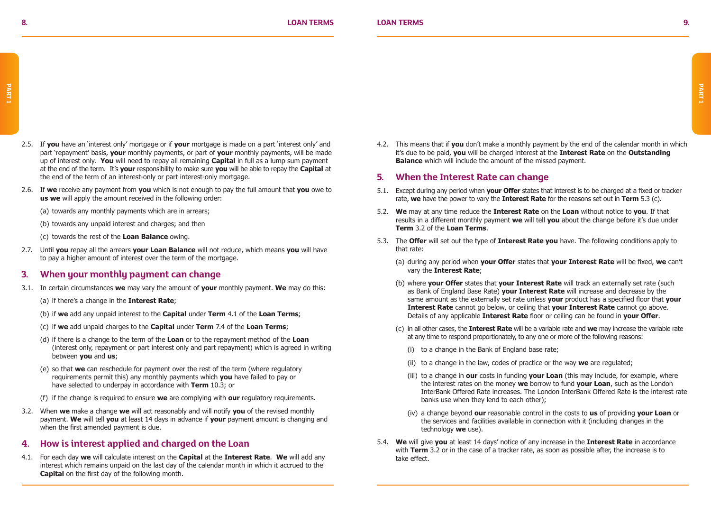- 2.5. If **you** have an 'interest only' mortgage or if **your** mortgage is made on a part 'interest only' and part 'repayment' basis, **your** monthly payments, or part of **your** monthly payments, will be made up of interest only. **You** will need to repay all remaining **Capital** in full as a lump sum payment at the end of the term. It's **your** responsibility to make sure **you** will be able to repay the **Capital** at the end of the term of an interest-only or part interest-only mortgage.
- 2.6. If **we** receive any payment from **you** which is not enough to pay the full amount that **you** owe to **us we** will apply the amount received in the following order:
	- (a) towards any monthly payments which are in arrears;
	- (b) towards any unpaid interest and charges; and then
	- (c) towards the rest of the **Loan Balance** owing.
- 2.7. Until **you** repay all the arrears **your Loan Balance** will not reduce, which means **you** will have to pay a higher amount of interest over the term of the mortgage.

### **3. When your monthly payment can change**

- 3.1. In certain circumstances **we** may vary the amount of **your** monthly payment. **We** may do this:
	- (a) if there's a change in the **Interest Rate**;
	- (b) if **we** add any unpaid interest to the **Capital** under **Term** 4.1 of the **Loan Terms**;
	- (c) if **we** add unpaid charges to the **Capital** under **Term** 7.4 of the **Loan Terms**;
	- (d) if there is a change to the term of the **Loan** or to the repayment method of the **Loan** (interest only, repayment or part interest only and part repayment) which is agreed in writing between **you** and **us**;
	- (e) so that **we** can reschedule for payment over the rest of the term (where regulatory requirements permit this) any monthly payments which **you** have failed to pay or have selected to underpay in accordance with **Term** 10.3; or
	- (f) if the change is required to ensure **we** are complying with **our** regulatory requirements.
- 3.2. When **we** make a change **we** will act reasonably and will notify **you** of the revised monthly payment. **We** will tell **you** at least 14 days in advance if **your** payment amount is changing and when the first amended payment is due.

### **4. How is interest applied and charged on the Loan**

4.1. For each day **we** will calculate interest on the **Capital** at the **Interest Rate**. **We** will add any interest which remains unpaid on the last day of the calendar month in which it accrued to the **Capital** on the first day of the following month.

4.2. This means that if **you** don't make a monthly payment by the end of the calendar month in which it's due to be paid, **you** will be charged interest at the **Interest Rate** on the **Outstanding Balance** which will include the amount of the missed payment.

### **5. When the Interest Rate can change**

- 5.1. Except during any period when **your Offer** states that interest is to be charged at a fixed or tracker rate, **we** have the power to vary the **Interest Rate** for the reasons set out in **Term** 5.3 (c).
- 5.2. **We** may at any time reduce the **Interest Rate** on the **Loan** without notice to **you**. If that results in a different monthly payment **we** will tell **you** about the change before it's due under **Term** 3.2 of the **Loan Terms**.
- 5.3. The **Offer** will set out the type of **Interest Rate you** have. The following conditions apply to that rate:
	- (a) during any period when **your Offer** states that **your Interest Rate** will be fixed, **we** can't vary the **Interest Rate**;
	- (b) where **your Offer** states that **your Interest Rate** will track an externally set rate (such as Bank of England Base Rate) **your Interest Rate** will increase and decrease by the same amount as the externally set rate unless **your** product has a specified floor that **your Interest Rate** cannot go below, or ceiling that **your Interest Rate** cannot go above. Details of any applicable **Interest Rate** floor or ceiling can be found in **your Offer**.
	- (c) in all other cases, the **Interest Rate** will be a variable rate and **we** may increase the variable rate at any time to respond proportionately, to any one or more of the following reasons:
		- (i) to a change in the Bank of England base rate;
		- (ii) to a change in the law, codes of practice or the way **we** are regulated;
		- (iii) to a change in **our** costs in funding **your Loan** (this may include, for example, where the interest rates on the money **we** borrow to fund **your Loan**, such as the London InterBank Offered Rate increases. The London InterBank Offered Rate is the interest rate banks use when they lend to each other);
		- (iv) a change beyond **our** reasonable control in the costs to **us** of providing **your Loan** or the services and facilities available in connection with it (including changes in the technology **we** use).
- 5.4. **We** will give **you** at least 14 days' notice of any increase in the **Interest Rate** in accordance with **Term** 3.2 or in the case of a tracker rate, as soon as possible after, the increase is to take effect.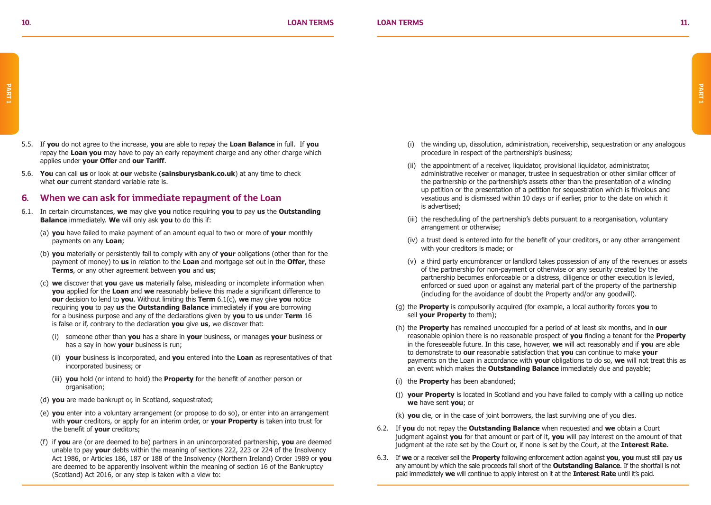- 5.5. If **you** do not agree to the increase, **you** are able to repay the **Loan Balance** in full. If **you** repay the **Loan you** may have to pay an early repayment charge and any other charge which applies under **your Offer** and **our Tariff**.
- 5.6. **You** can call **us** or look at **our** website (**sainsburysbank.co.uk**) at any time to check what **our** current standard variable rate is.

### **6. When we can ask for immediate repayment of the Loan**

- 6.1. In certain circumstances, **we** may give **you** notice requiring **you** to pay **us** the **Outstanding Balance** immediately. **We** will only ask **you** to do this if:
	- (a) **you** have failed to make payment of an amount equal to two or more of **your** monthly payments on any **Loan**;
	- (b) **you** materially or persistently fail to comply with any of **your** obligations (other than for the payment of money) to **us** in relation to the **Loan** and mortgage set out in the **Offer**, these **Terms**, or any other agreement between **you** and **us**;
	- (c) **we** discover that **you** gave **us** materially false, misleading or incomplete information when **you** applied for the **Loan** and **we** reasonably believe this made a significant difference to **our** decision to lend to **you**. Without limiting this **Term** 6.1(c), **we** may give **you** notice requiring **you** to pay **us** the **Outstanding Balance** immediately if **you** are borrowing for a business purpose and any of the declarations given by **you** to **us** under **Term** 16 is false or if, contrary to the declaration **you** give **us**, we discover that:
		- (i) someone other than **you** has a share in **your** business, or manages **your** business or has a say in how **your** business is run;
		- (ii) **your** business is incorporated, and **you** entered into the **Loan** as representatives of that incorporated business; or
		- (iii) **you** hold (or intend to hold) the **Property** for the benefit of another person or organisation;
	- (d) **you** are made bankrupt or, in Scotland, sequestrated;
	- (e) **you** enter into a voluntary arrangement (or propose to do so), or enter into an arrangement with **your** creditors, or apply for an interim order, or **your Property** is taken into trust for the benefit of **your** creditors;
	- (f) if **you** are (or are deemed to be) partners in an unincorporated partnership, **you** are deemed unable to pay **your** debts within the meaning of sections 222, 223 or 224 of the Insolvency Act 1986, or Articles 186, 187 or 188 of the Insolvency (Northern Ireland) Order 1989 or **you** are deemed to be apparently insolvent within the meaning of section 16 of the Bankruptcy (Scotland) Act 2016, or any step is taken with a view to:
- (i) the winding up, dissolution, administration, receivership, sequestration or any analogous procedure in respect of the partnership's business;
- (ii) the appointment of a receiver, liquidator, provisional liquidator, administrator, administrative receiver or manager, trustee in sequestration or other similar officer of the partnership or the partnership's assets other than the presentation of a winding up petition or the presentation of a petition for sequestration which is frivolous and vexatious and is dismissed within 10 days or if earlier, prior to the date on which it is advertised;
- (iii) the rescheduling of the partnership's debts pursuant to a reorganisation, voluntary arrangement or otherwise;
- (iv) a trust deed is entered into for the benefit of your creditors, or any other arrangement with your creditors is made; or
- (v) a third party encumbrancer or landlord takes possession of any of the revenues or assets of the partnership for non-payment or otherwise or any security created by the partnership becomes enforceable or a distress, diligence or other execution is levied, enforced or sued upon or against any material part of the property of the partnership (including for the avoidance of doubt the Property and/or any goodwill).
- (g) the **Property** is compulsorily acquired (for example, a local authority forces **you** to sell **your Property** to them);
- (h) the **Property** has remained unoccupied for a period of at least six months, and in **our** reasonable opinion there is no reasonable prospect of **you** finding a tenant for the **Property** in the foreseeable future. In this case, however, **we** will act reasonably and if **you** are able to demonstrate to **our** reasonable satisfaction that **you** can continue to make **your** payments on the Loan in accordance with **your** obligations to do so, **we** will not treat this as an event which makes the **Outstanding Balance** immediately due and payable;
- (i) the **Property** has been abandoned;
- (j) **your Property** is located in Scotland and you have failed to comply with a calling up notice **we** have sent **you**; or
- (k) **you** die, or in the case of joint borrowers, the last surviving one of you dies.
- 6.2. If **you** do not repay the **Outstanding Balance** when requested and **we** obtain a Court judgment against **you** for that amount or part of it, **you** will pay interest on the amount of that judgment at the rate set by the Court or, if none is set by the Court, at the **Interest Rate**.
- 6.3. If **we** or a receiver sell the **Property** following enforcement action against **you**, **you** must still pay **us** any amount by which the sale proceeds fall short of the **Outstanding Balance**. If the shortfall is not paid immediately **we** will continue to apply interest on it at the **Interest Rate** until it's paid.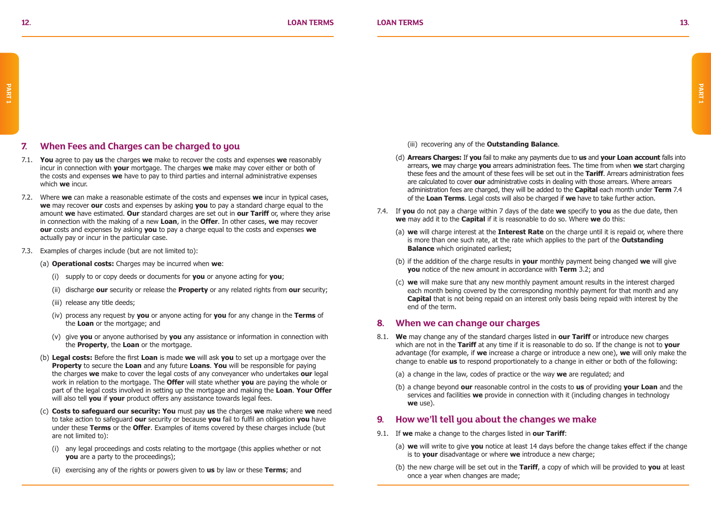### **7. When Fees and Charges can be charged to you**

- 7.1. **You** agree to pay **us** the charges **we** make to recover the costs and expenses **we** reasonably incur in connection with **your** mortgage. The charges **we** make may cover either or both of the costs and expenses **we** have to pay to third parties and internal administrative expenses which **we** incur.
- 7.2. Where **we** can make a reasonable estimate of the costs and expenses **we** incur in typical cases, **we** may recover **our** costs and expenses by asking **you** to pay a standard charge equal to the amount **we** have estimated. **Our** standard charges are set out in **our Tariff** or, where they arise in connection with the making of a new **Loan**, in the **Offer**. In other cases, **we** may recover **our** costs and expenses by asking **you** to pay a charge equal to the costs and expenses **we** actually pay or incur in the particular case.
- 7.3. Examples of charges include (but are not limited to):
	- (a) **Operational costs:** Charges may be incurred when **we**:
		- (i) supply to or copy deeds or documents for **you** or anyone acting for **you**;
		- (ii) discharge **our** security or release the **Property** or any related rights from **our** security;
		- (iii) release any title deeds;
		- (iv) process any request by **you** or anyone acting for **you** for any change in the **Terms** of the **Loan** or the mortgage; and
		- (v) give **you** or anyone authorised by **you** any assistance or information in connection with the **Property**, the **Loan** or the mortgage.
	- (b) **Legal costs:** Before the first **Loan** is made **we** will ask **you** to set up a mortgage over the **Property** to secure the **Loan** and any future **Loans**. **You** will be responsible for paying the charges **we** make to cover the legal costs of any conveyancer who undertakes **our** legal work in relation to the mortgage. The **Offer** will state whether **you** are paying the whole or part of the legal costs involved in setting up the mortgage and making the **Loan**. **Your Offer** will also tell **you** if **your** product offers any assistance towards legal fees.
	- (c) **Costs to safeguard our security: You** must pay **us** the charges **we** make where **we** need to take action to safeguard **our** security or because **you** fail to fulfil an obligation **you** have under these **Terms** or the **Offer**. Examples of items covered by these charges include (but are not limited to):
		- (i) any legal proceedings and costs relating to the mortgage (this applies whether or not **you** are a party to the proceedings):
		- (ii) exercising any of the rights or powers given to **us** by law or these **Terms**; and

(iii) recovering any of the **Outstanding Balance**.

- (d) **Arrears Charges:** If **you** fail to make any payments due to **us** and **your Loan account** falls into arrears, **we** may charge **you** arrears administration fees. The time from when **we** start charging these fees and the amount of these fees will be set out in the **Tariff**. Arrears administration fees are calculated to cover **our** administrative costs in dealing with those arrears. Where arrears administration fees are charged, they will be added to the **Capital** each month under **Term** 7.4 of the **Loan Terms**. Legal costs will also be charged if **we** have to take further action.
- 7.4. If **you** do not pay a charge within 7 days of the date **we** specify to **you** as the due date, then **we** may add it to the **Capital** if it is reasonable to do so. Where **we** do this:
	- (a) **we** will charge interest at the **Interest Rate** on the charge until it is repaid or, where there is more than one such rate, at the rate which applies to the part of the **Outstanding Balance** which originated earliest:
	- (b) if the addition of the charge results in **your** monthly payment being changed **we** will give **you** notice of the new amount in accordance with **Term** 3.2; and
	- (c) **we** will make sure that any new monthly payment amount results in the interest charged each month being covered by the corresponding monthly payment for that month and any **Capital** that is not being repaid on an interest only basis being repaid with interest by the end of the term.

### **8. When we can change our charges**

- 8.1. **We** may change any of the standard charges listed in **our Tariff** or introduce new charges which are not in the **Tariff** at any time if it is reasonable to do so. If the change is not to **your** advantage (for example, if **we** increase a charge or introduce a new one), **we** will only make the change to enable **us** to respond proportionately to a change in either or both of the following:
	- (a) a change in the law, codes of practice or the way **we** are regulated; and
	- (b) a change beyond **our** reasonable control in the costs to **us** of providing **your Loan** and the services and facilities **we** provide in connection with it (including changes in technology **we** use).

### **9. How we'll tell you about the changes we make**

- 9.1. If **we** make a change to the charges listed in **our Tariff**:
	- (a) **we** will write to give **you** notice at least 14 days before the change takes effect if the change is to **your** disadvantage or where **we** introduce a new charge;
	- (b) the new charge will be set out in the **Tariff**, a copy of which will be provided to **you** at least once a year when changes are made;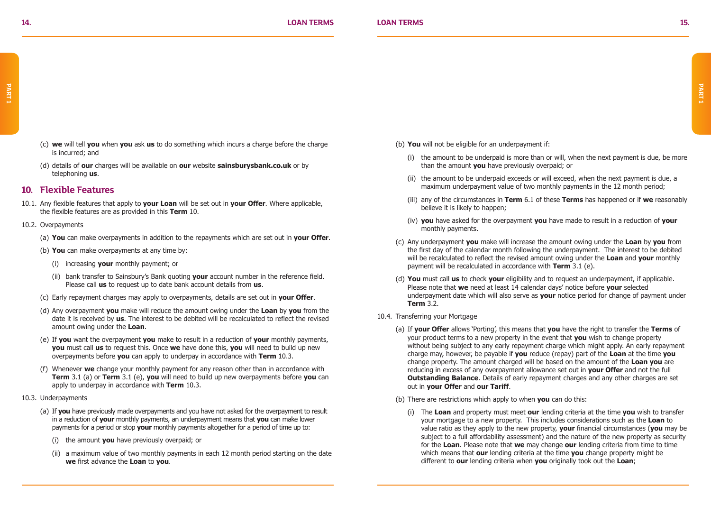- (c) **we** will tell **you** when **you** ask **us** to do something which incurs a charge before the charge is incurred; and
- (d) details of **our** charges will be available on **our** website **sainsburysbank.co.uk** or by telephoning **us**.

### **10. Flexible Features**

10.1. Any flexible features that apply to **your Loan** will be set out in **your Offer**. Where applicable, the flexible features are as provided in this **Term** 10.

#### 10.2. Overpayments

- (a) **You** can make overpayments in addition to the repayments which are set out in **your Offer**.
- (b) **You** can make overpayments at any time by:
	- (i) increasing **your** monthly payment; or
	- (ii) bank transfer to Sainsbury's Bank quoting **your** account number in the reference field. Please call **us** to request up to date bank account details from **us**.
- (c) Early repayment charges may apply to overpayments, details are set out in **your Offer**.
- (d) Any overpayment **you** make will reduce the amount owing under the **Loan** by **you** from the date it is received by **us**. The interest to be debited will be recalculated to reflect the revised amount owing under the **Loan**.
- (e) If **you** want the overpayment **you** make to result in a reduction of **your** monthly payments, **you** must call **us** to request this. Once **we** have done this, **you** will need to build up new overpayments before **you** can apply to underpay in accordance with **Term** 10.3.
- (f) Whenever **we** change your monthly payment for any reason other than in accordance with **Term** 3.1 (a) or **Term** 3.1 (e), **you** will need to build up new overpayments before **you** can apply to underpay in accordance with **Term** 10.3.
- 10.3. Underpayments
	- (a) If **you** have previously made overpayments and you have not asked for the overpayment to result in a reduction of **your** monthly payments, an underpayment means that **you** can make lower payments for a period or stop **your** monthly payments altogether for a period of time up to:
		- (i) the amount **you** have previously overpaid; or
		- (ii) a maximum value of two monthly payments in each 12 month period starting on the date **we** first advance the **Loan** to **you**.
- (b) **You** will not be eligible for an underpayment if:
	- (i) the amount to be underpaid is more than or will, when the next payment is due, be more than the amount **you** have previously overpaid; or
	- (ii) the amount to be underpaid exceeds or will exceed, when the next payment is due, a maximum underpayment value of two monthly payments in the 12 month period;
	- (iii) any of the circumstances in **Term** 6.1 of these **Terms** has happened or if **we** reasonably believe it is likely to happen;
	- (iv) **you** have asked for the overpayment **you** have made to result in a reduction of **your** monthly payments.
- (c) Any underpayment **you** make will increase the amount owing under the **Loan** by **you** from the first day of the calendar month following the underpayment. The interest to be debited will be recalculated to reflect the revised amount owing under the **Loan** and **your** monthly payment will be recalculated in accordance with **Term** 3.1 (e).
- (d) **You** must call **us** to check **your** eligibility and to request an underpayment, if applicable. Please note that **we** need at least 14 calendar days' notice before **your** selected underpayment date which will also serve as **your** notice period for change of payment under **Term** 3.2.
- 10.4. Transferring your Mortgage
	- (a) If **your Offer** allows 'Porting', this means that **you** have the right to transfer the **Terms** of your product terms to a new property in the event that **you** wish to change property without being subject to any early repayment charge which might apply. An early repayment charge may, however, be payable if **you** reduce (repay) part of the **Loan** at the time **you** change property. The amount charged will be based on the amount of the **Loan you** are reducing in excess of any overpayment allowance set out in **your Offer** and not the full **Outstanding Balance**. Details of early repayment charges and any other charges are set out in **your Offer** and **our Tariff**.
	- (b) There are restrictions which apply to when **you** can do this:
		- (i) The **Loan** and property must meet **our** lending criteria at the time **you** wish to transfer your mortgage to a new property. This includes considerations such as the **Loan** to value ratio as they apply to the new property, **your** financial circumstances (**you** may be subject to a full affordability assessment) and the nature of the new property as security for the **Loan**. Please note that **we** may change **our** lending criteria from time to time which means that **our** lending criteria at the time **you** change property might be different to **our** lending criteria when **you** originally took out the **Loan**;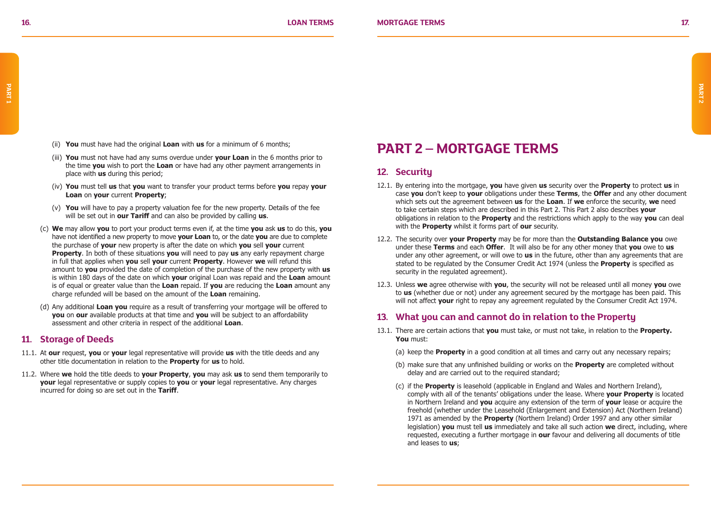- (ii) **You** must have had the original **Loan** with **us** for a minimum of 6 months;
- (iii) **You** must not have had any sums overdue under **your Loan** in the 6 months prior to the time **you** wish to port the **Loan** or have had any other payment arrangements in place with **us** during this period;
- (iv) **You** must tell **us** that **you** want to transfer your product terms before **you** repay **your Loan** on **your** current **Property**;
- (v) **You** will have to pay a property valuation fee for the new property. Details of the fee will be set out in **our Tariff** and can also be provided by calling **us**.
- (c) **We** may allow **you** to port your product terms even if, at the time **you** ask **us** to do this, **you** have not identified a new property to move **your Loan** to, or the date **you** are due to complete the purchase of **your** new property is after the date on which **you** sell **your** current **Property**. In both of these situations **you** will need to pay **us** any early repayment charge in full that applies when **you** sell **your** current **Property**. However **we** will refund this amount to **you** provided the date of completion of the purchase of the new property with **us** is within 180 days of the date on which **your** original Loan was repaid and the **Loan** amount is of equal or greater value than the **Loan** repaid. If **you** are reducing the **Loan** amount any charge refunded will be based on the amount of the **Loan** remaining.
- (d) Any additional **Loan you** require as a result of transferring your mortgage will be offered to **you** on **our** available products at that time and **you** will be subject to an affordability assessment and other criteria in respect of the additional **Loan**.

### **11. Storage of Deeds**

- 11.1. At **our** request, **you** or **your** legal representative will provide **us** with the title deeds and any other title documentation in relation to the **Property** for **us** to hold.
- 11.2. Where **we** hold the title deeds to **your Property**, **you** may ask **us** to send them temporarily to **your** legal representative or supply copies to **you** or **your** legal representative. Any charges incurred for doing so are set out in the **Tariff**.

### **PART 2 – MORTGAGE TERMS**

### **12. Security**

- 12.1. By entering into the mortgage, **you** have given **us** security over the **Property** to protect **us** in case **you** don't keep to **your** obligations under these **Terms**, the **Offer** and any other document which sets out the agreement between **us** for the **Loan**. If **we** enforce the security, **we** need to take certain steps which are described in this Part 2. This Part 2 also describes **your** obligations in relation to the **Property** and the restrictions which apply to the way **you** can deal with the **Property** whilst it forms part of **our** security.
- 12.2. The security over **your Property** may be for more than the **Outstanding Balance you** owe under these **Terms** and each **Offer**. It will also be for any other money that **you** owe to **us** under any other agreement, or will owe to **us** in the future, other than any agreements that are stated to be regulated by the Consumer Credit Act 1974 (unless the **Property** is specified as security in the regulated agreement).
- 12.3. Unless **we** agree otherwise with **you**, the security will not be released until all money **you** owe to **us** (whether due or not) under any agreement secured by the mortgage has been paid. This will not affect **your** right to repay any agreement regulated by the Consumer Credit Act 1974.

### **13. What you can and cannot do in relation to the Property**

- 13.1. There are certain actions that **you** must take, or must not take, in relation to the **Property. You** must:
	- (a) keep the **Property** in a good condition at all times and carry out any necessary repairs;
	- (b) make sure that any unfinished building or works on the **Property** are completed without delay and are carried out to the required standard;
	- (c) if the **Property** is leasehold (applicable in England and Wales and Northern Ireland), comply with all of the tenants' obligations under the lease. Where **your Property** is located in Northern Ireland and **you** acquire any extension of the term of **your** lease or acquire the freehold (whether under the Leasehold (Enlargement and Extension) Act (Northern Ireland) 1971 as amended by the **Property** (Northern Ireland) Order 1997 and any other similar legislation) **you** must tell **us** immediately and take all such action **we** direct, including, where requested, executing a further mortgage in **our** favour and delivering all documents of title and leases to **us**;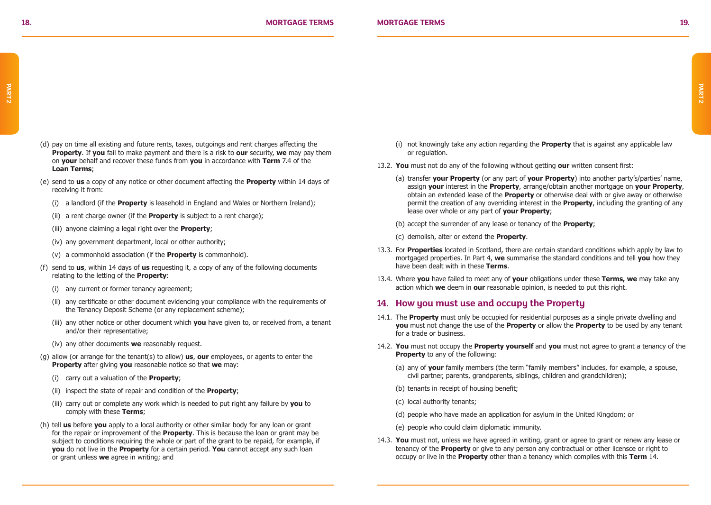- (d) pay on time all existing and future rents, taxes, outgoings and rent charges affecting the **Property**. If **you** fail to make payment and there is a risk to **our** security, **we** may pay them on **your** behalf and recover these funds from **you** in accordance with **Term** 7.4 of the **Loan Terms**;
- (e) send to **us** a copy of any notice or other document affecting the **Property** within 14 days of receiving it from:
	- (i) a landlord (if the **Property** is leasehold in England and Wales or Northern Ireland);
	- (ii) a rent charge owner (if the **Property** is subject to a rent charge);
	- (iii) anyone claiming a legal right over the **Property**;
	- (iv) any government department, local or other authority;
	- (v) a commonhold association (if the **Property** is commonhold).
- (f) send to **us**, within 14 days of **us** requesting it, a copy of any of the following documents relating to the letting of the **Property**:
	- (i) any current or former tenancy agreement;
	- (ii) any certificate or other document evidencing your compliance with the requirements of the Tenancy Deposit Scheme (or any replacement scheme);
	- (iii) any other notice or other document which **you** have given to, or received from, a tenant and/or their representative;
	- (iv) any other documents **we** reasonably request.
- (g) allow (or arrange for the tenant(s) to allow) **us**, **our** employees, or agents to enter the **Property** after giving **you** reasonable notice so that **we** may:
	- (i) carry out a valuation of the **Property**;
	- (ii) inspect the state of repair and condition of the **Property**;
	- (iii) carry out or complete any work which is needed to put right any failure by **you** to comply with these **Terms**;
- (h) tell **us** before **you** apply to a local authority or other similar body for any loan or grant for the repair or improvement of the **Property**. This is because the loan or grant may be subject to conditions requiring the whole or part of the grant to be repaid, for example, if **you** do not live in the **Property** for a certain period. **You** cannot accept any such loan or grant unless **we** agree in writing; and
- (i) not knowingly take any action regarding the **Property** that is against any applicable law or regulation.
- 13.2. **You** must not do any of the following without getting **our** written consent first:
	- (a) transfer **your Property** (or any part of **your Property**) into another party's/parties' name, assign **your** interest in the **Property**, arrange/obtain another mortgage on **your Property**, obtain an extended lease of the **Property** or otherwise deal with or give away or otherwise permit the creation of any overriding interest in the **Property**, including the granting of any lease over whole or any part of **your Property**;
	- (b) accept the surrender of any lease or tenancy of the **Property**;
	- (c) demolish, alter or extend the **Property**.
- 13.3. For **Properties** located in Scotland, there are certain standard conditions which apply by law to mortgaged properties. In Part 4, **we** summarise the standard conditions and tell **you** how they have been dealt with in these **Terms**.
- 13.4. Where **you** have failed to meet any of **your** obligations under these **Terms, we** may take any action which **we** deem in **our** reasonable opinion, is needed to put this right.

### **14. How you must use and occupy the Property**

- 14.1. The **Property** must only be occupied for residential purposes as a single private dwelling and **you** must not change the use of the **Property** or allow the **Property** to be used by any tenant for a trade or business.
- 14.2. **You** must not occupy the **Property yourself** and **you** must not agree to grant a tenancy of the **Property** to any of the following:
	- (a) any of **your** family members (the term "family members" includes, for example, a spouse, civil partner, parents, grandparents, siblings, children and grandchildren);
	- (b) tenants in receipt of housing benefit;
	- (c) local authority tenants;
	- (d) people who have made an application for asylum in the United Kingdom; or
	- (e) people who could claim diplomatic immunity.
- 14.3. **You** must not, unless we have agreed in writing, grant or agree to grant or renew any lease or tenancy of the **Property** or give to any person any contractual or other licensce or right to occupy or live in the **Property** other than a tenancy which complies with this **Term** 14.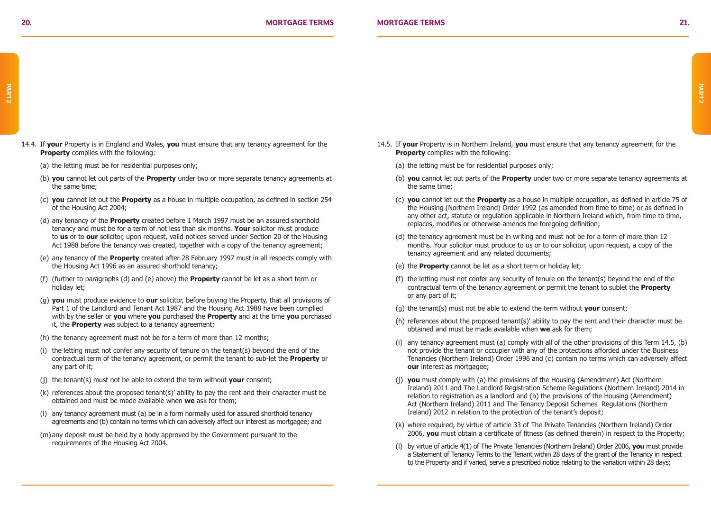- 14.4. If **your** Property is in England and Wales, **you** must ensure that any tenancy agreement for the **Property** complies with the following:
	- (a) the letting must be for residential purposes only;
	- (b) **you** cannot let out parts of the **Property** under two or more separate tenancy agreements at the same time;
	- (c) **you** cannot let out the **Property** as a house in multiple occupation, as defined in section 254 of the Housing Act 2004;
	- (d) any tenancy of the **Property** created before 1 March 1997 must be an assured shorthold tenancy and must be for a term of not less than six months. **Your** solicitor must produce to **us** or to **our** solicitor, upon request, valid notices served under Section 20 of the Housing Act 1988 before the tenancy was created, together with a copy of the tenancy agreement;
	- (e) any tenancy of the **Property** created after 28 February 1997 must in all respects comply with the Housing Act 1996 as an assured shorthold tenancy;
	- (f) (further to paragraphs (d) and (e) above) the **Property** cannot be let as a short term or holiday let;
	- (g) **you** must produce evidence to **our** solicitor, before buying the Property, that all provisions of Part 1 of the Landlord and Tenant Act 1987 and the Housing Act 1988 have been complied with by the seller or **you** where **you** purchased the **Property** and at the time **you** purchased it, the **Property** was subject to a tenancy agreement;
	- (h) the tenancy agreement must not be for a term of more than 12 months;
	- (i) the letting must not confer any security of tenure on the tenant(s) beyond the end of the contractual term of the tenancy agreement, or permit the tenant to sub-let the **Property** or any part of it;
	- (j) the tenant(s) must not be able to extend the term without **your** consent;
	- (k) references about the proposed tenant(s)' ability to pay the rent and their character must be obtained and must be made available when **we** ask for them;
	- (l) any tenancy agreement must (a) be in a form normally used for assured shorthold tenancy agreements and (b) contain no terms which can adversely affect our interest as mortgagee; and
	- (m) any deposit must be held by a body approved by the Government pursuant to the requirements of the Housing Act 2004.
- 14.5. If **your** Property is in Northern Ireland, **you** must ensure that any tenancy agreement for the **Property** complies with the following:
	- (a) the letting must be for residential purposes only;
	- (b) **you** cannot let out parts of the **Property** under two or more separate tenancy agreements at the same time;
	- (c) **you** cannot let out the **Property** as a house in multiple occupation, as defined in article 75 of the Housing (Northern Ireland) Order 1992 (as amended from time to time) or as defined in any other act, statute or regulation applicable in Northern Ireland which, from time to time, replaces, modifies or otherwise amends the foregoing definition;
	- (d) the tenancy agreement must be in writing and must not be for a term of more than 12 months. Your solicitor must produce to us or to our solicitor, upon request, a copy of the tenancy agreement and any related documents;
	- (e) the **Property** cannot be let as a short term or holiday let;
	- (f) the letting must not confer any security of tenure on the tenant(s) beyond the end of the contractual term of the tenancy agreement or permit the tenant to sublet the **Property** or any part of it;
	- (g) the tenant(s) must not be able to extend the term without **your** consent;
	- (h) references about the proposed tenant(s)' ability to pay the rent and their character must be obtained and must be made available when **we** ask for them;
	- (i) any tenancy agreement must (a) comply with all of the other provisions of this Term 14.5, (b) not provide the tenant or occupier with any of the protections afforded under the Business Tenancies (Northern Ireland) Order 1996 and (c) contain no terms which can adversely affect **our** interest as mortgagee;
	- (j) **you** must comply with (a) the provisions of the Housing (Amendment) Act (Northern Ireland) 2011 and The Landlord Registration Scheme Regulations (Northern Ireland) 2014 in relation to registration as a landlord and (b) the provisions of the Housing (Amendment) Act (Northern Ireland) 2011 and The Tenancy Deposit Schemes Regulations (Northern Ireland) 2012 in relation to the protection of the tenant's deposit;
	- (k) where required, by virtue of article 33 of The Private Tenancies (Northern Ireland) Order 2006, **you** must obtain a certificate of fitness (as defined therein) in respect to the Property;
	- (l) by virtue of article 4(1) of The Private Tenancies (Northern Ireland) Order 2006, **you** must provide a Statement of Tenancy Terms to the Tenant within 28 days of the grant of the Tenancy in respect to the Property and if varied, serve a prescribed notice relating to the variation within 28 days;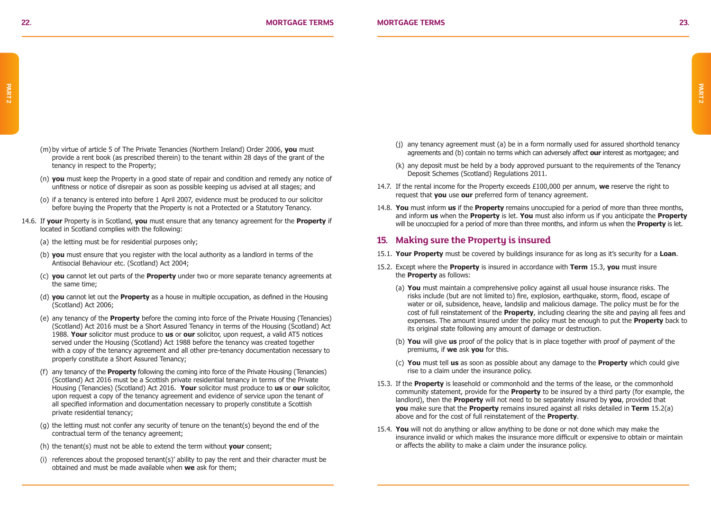- (m) by virtue of article 5 of The Private Tenancies (Northern Ireland) Order 2006, **you** must provide a rent book (as prescribed therein) to the tenant within 28 days of the grant of the tenancy in respect to the Property;
- (n) **you** must keep the Property in a good state of repair and condition and remedy any notice of unfitness or notice of disrepair as soon as possible keeping us advised at all stages; and
- (o) if a tenancy is entered into before 1 April 2007, evidence must be produced to our solicitor before buying the Property that the Property is not a Protected or a Statutory Tenancy.
- 14.6. If **your** Property is in Scotland, **you** must ensure that any tenancy agreement for the **Property** if located in Scotland complies with the following:
	- (a) the letting must be for residential purposes only;
	- (b) **you** must ensure that you register with the local authority as a landlord in terms of the Antisocial Behaviour etc. (Scotland) Act 2004;
	- (c) **you** cannot let out parts of the **Property** under two or more separate tenancy agreements at the same time;
	- (d) **you** cannot let out the **Property** as a house in multiple occupation, as defined in the Housing (Scotland) Act 2006;
	- (e) any tenancy of the **Property** before the coming into force of the Private Housing (Tenancies) (Scotland) Act 2016 must be a Short Assured Tenancy in terms of the Housing (Scotland) Act 1988. **Your** solicitor must produce to **us** or **our** solicitor, upon request, a valid AT5 notices served under the Housing (Scotland) Act 1988 before the tenancy was created together with a copy of the tenancy agreement and all other pre-tenancy documentation necessary to properly constitute a Short Assured Tenancy;
	- (f) any tenancy of the **Property** following the coming into force of the Private Housing (Tenancies) (Scotland) Act 2016 must be a Scottish private residential tenancy in terms of the Private Housing (Tenancies) (Scotland) Act 2016. **Your** solicitor must produce to **us** or **our** solicitor, upon request a copy of the tenancy agreement and evidence of service upon the tenant of all specified information and documentation necessary to properly constitute a Scottish private residential tenancy;
	- (g) the letting must not confer any security of tenure on the tenant(s) beyond the end of the contractual term of the tenancy agreement;
	- (h) the tenant(s) must not be able to extend the term without **your** consent;
	- (i) references about the proposed tenant(s)' ability to pay the rent and their character must be obtained and must be made available when **we** ask for them;
- (j) any tenancy agreement must (a) be in a form normally used for assured shorthold tenancy agreements and (b) contain no terms which can adversely affect **our** interest as mortgagee; and
- (k) any deposit must be held by a body approved pursuant to the requirements of the Tenancy Deposit Schemes (Scotland) Regulations 2011.
- 14.7. If the rental income for the Property exceeds £100,000 per annum, **we** reserve the right to request that **you** use **our** preferred form of tenancy agreement.
- 14.8. **You** must inform **us** if the **Property** remains unoccupied for a period of more than three months, and inform **us** when the **Property** is let. **You** must also inform us if you anticipate the **Property** will be unoccupied for a period of more than three months, and inform us when the **Property** is let.

### **15. Making sure the Property is insured**

- 15.1. **Your Property** must be covered by buildings insurance for as long as it's security for a **Loan**.
- 15.2. Except where the **Property** is insured in accordance with **Term** 15.3, **you** must insure the **Property** as follows:
	- (a) **You** must maintain a comprehensive policy against all usual house insurance risks. The risks include (but are not limited to) fire, explosion, earthquake, storm, flood, escape of water or oil, subsidence, heave, landslip and malicious damage. The policy must be for the cost of full reinstatement of the **Property**, including clearing the site and paying all fees and expenses. The amount insured under the policy must be enough to put the **Property** back to its original state following any amount of damage or destruction.
	- (b) **You** will give **us** proof of the policy that is in place together with proof of payment of the premiums, if **we** ask **you** for this.
	- (c) **You** must tell **us** as soon as possible about any damage to the **Property** which could give rise to a claim under the insurance policy.
- 15.3. If the **Property** is leasehold or commonhold and the terms of the lease, or the commonhold community statement, provide for the **Property** to be insured by a third party (for example, the landlord), then the **Property** will not need to be separately insured by **you**, provided that **you** make sure that the **Property** remains insured against all risks detailed in **Term** 15.2(a) above and for the cost of full reinstatement of the **Property**.
- 15.4. **You** will not do anything or allow anything to be done or not done which may make the insurance invalid or which makes the insurance more difficult or expensive to obtain or maintain or affects the ability to make a claim under the insurance policy.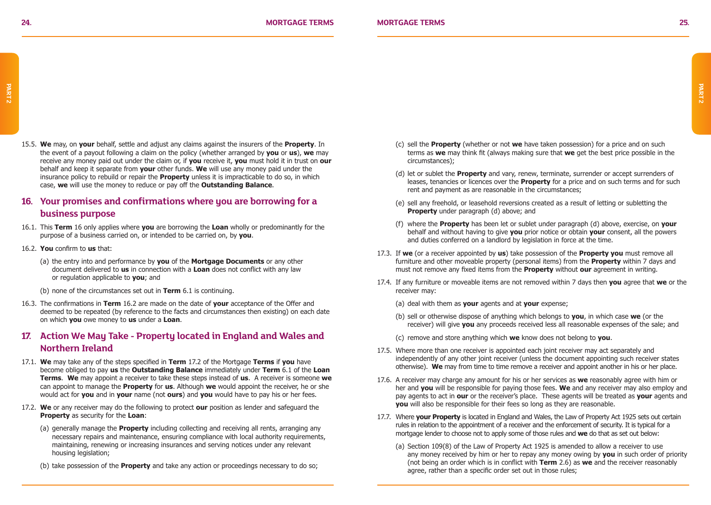15.5. **We** may, on **your** behalf, settle and adjust any claims against the insurers of the **Property**. In the event of a payout following a claim on the policy (whether arranged by **you** or **us**), **we** may receive any money paid out under the claim or, if **you** receive it, **you** must hold it in trust on **our** behalf and keep it separate from **your** other funds. **We** will use any money paid under the insurance policy to rebuild or repair the **Property** unless it is impracticable to do so, in which case, **we** will use the money to reduce or pay off the **Outstanding Balance**.

### **16. Your promises and confirmations where you are borrowing for a business purpose**

- 16.1. This **Term** 16 only applies where **you** are borrowing the **Loan** wholly or predominantly for the purpose of a business carried on, or intended to be carried on, by **you**.
- 16.2. **You** confirm to **us** that:
	- (a) the entry into and performance by **you** of the **Mortgage Documents** or any other document delivered to **us** in connection with a **Loan** does not conflict with any law or regulation applicable to **you**; and
	- (b) none of the circumstances set out in **Term** 6.1 is continuing.
- 16.3. The confirmations in **Term** 16.2 are made on the date of **your** acceptance of the Offer and deemed to be repeated (by reference to the facts and circumstances then existing) on each date on which **you** owe money to **us** under a **Loan**.

### **17. Action We May Take - Property located in England and Wales and Northern Ireland**

- 17.1. **We** may take any of the steps specified in **Term** 17.2 of the Mortgage **Terms** if **you** have become obliged to pay **us** the **Outstanding Balance** immediately under **Term** 6.1 of the **Loan Terms**. **We** may appoint a receiver to take these steps instead of **us**. A receiver is someone **we** can appoint to manage the **Property** for **us**. Although **we** would appoint the receiver, he or she would act for **you** and in **your** name (not **ours**) and **you** would have to pay his or her fees.
- 17.2. **We** or any receiver may do the following to protect **our** position as lender and safeguard the **Property** as security for the **Loan**:
	- (a) generally manage the **Property** including collecting and receiving all rents, arranging any necessary repairs and maintenance, ensuring compliance with local authority requirements, maintaining, renewing or increasing insurances and serving notices under any relevant housing legislation:
	- (b) take possession of the **Property** and take any action or proceedings necessary to do so;
- (c) sell the **Property** (whether or not **we** have taken possession) for a price and on such terms as **we** may think fit (always making sure that **we** get the best price possible in the circumstances);
- (d) let or sublet the **Property** and vary, renew, terminate, surrender or accept surrenders of leases, tenancies or licences over the **Property** for a price and on such terms and for such rent and payment as are reasonable in the circumstances;
- (e) sell any freehold, or leasehold reversions created as a result of letting or subletting the **Property** under paragraph (d) above; and
- (f) where the **Property** has been let or sublet under paragraph (d) above, exercise, on **your** behalf and without having to give **you** prior notice or obtain **your** consent, all the powers and duties conferred on a landlord by legislation in force at the time.
- 17.3. If **we** (or a receiver appointed by **us**) take possession of the **Property you** must remove all furniture and other moveable property (personal items) from the **Property** within 7 days and must not remove any fixed items from the **Property** without **our** agreement in writing.
- 17.4. If any furniture or moveable items are not removed within 7 days then **you** agree that **we** or the receiver may:
	- (a) deal with them as **your** agents and at **your** expense;
	- (b) sell or otherwise dispose of anything which belongs to **you**, in which case **we** (or the receiver) will give **you** any proceeds received less all reasonable expenses of the sale; and
	- (c) remove and store anything which **we** know does not belong to **you**.
- 17.5. Where more than one receiver is appointed each joint receiver may act separately and independently of any other joint receiver (unless the document appointing such receiver states otherwise). **We** may from time to time remove a receiver and appoint another in his or her place.
- 17.6. A receiver may charge any amount for his or her services as **we** reasonably agree with him or her and **you** will be responsible for paying those fees. **We** and any receiver may also employ and pay agents to act in **our** or the receiver's place. These agents will be treated as **your** agents and **you** will also be responsible for their fees so long as they are reasonable.
- 17.7. Where **your Property** is located in England and Wales, the Law of Property Act 1925 sets out certain rules in relation to the appointment of a receiver and the enforcement of security. It is typical for a mortgage lender to choose not to apply some of those rules and **we** do that as set out below:
	- (a) Section 109(8) of the Law of Property Act 1925 is amended to allow a receiver to use any money received by him or her to repay any money owing by **you** in such order of priority (not being an order which is in conflict with **Term** 2.6) as **we** and the receiver reasonably agree, rather than a specific order set out in those rules;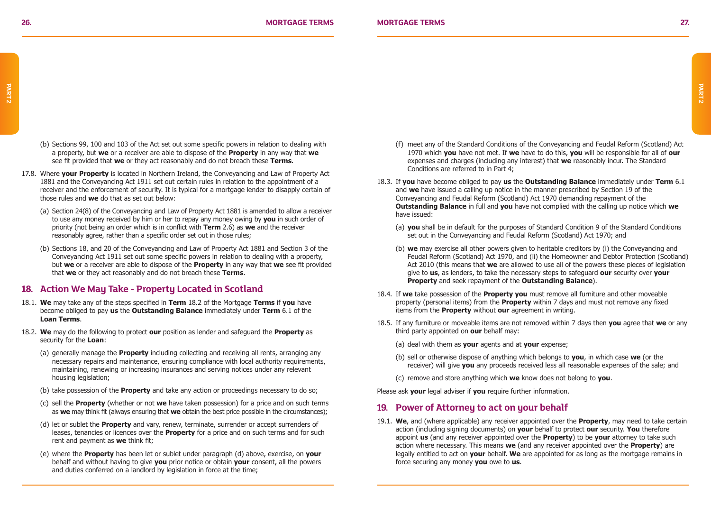- (b) Sections 99, 100 and 103 of the Act set out some specific powers in relation to dealing with a property, but **we** or a receiver are able to dispose of the **Property** in any way that **we** see fit provided that **we** or they act reasonably and do not breach these **Terms**.
- 17.8. Where **your Property** is located in Northern Ireland, the Conveyancing and Law of Property Act 1881 and the Conveyancing Act 1911 set out certain rules in relation to the appointment of a receiver and the enforcement of security. It is typical for a mortgage lender to disapply certain of those rules and **we** do that as set out below:
	- (a) Section 24(8) of the Conveyancing and Law of Property Act 1881 is amended to allow a receiver to use any money received by him or her to repay any money owing by **you** in such order of priority (not being an order which is in conflict with **Term** 2.6) as **we** and the receiver reasonably agree, rather than a specific order set out in those rules;
	- (b) Sections 18, and 20 of the Conveyancing and Law of Property Act 1881 and Section 3 of the Conveyancing Act 1911 set out some specific powers in relation to dealing with a property, but **we** or a receiver are able to dispose of the **Property** in any way that **we** see fit provided that **we** or they act reasonably and do not breach these **Terms**.

### **18. Action We May Take - Property Located in Scotland**

- 18.1. **We** may take any of the steps specified in **Term** 18.2 of the Mortgage **Terms** if **you** have become obliged to pay **us** the **Outstanding Balance** immediately under **Term** 6.1 of the **Loan Terms**.
- 18.2. **We** may do the following to protect **our** position as lender and safeguard the **Property** as security for the **Loan**:
	- (a) generally manage the **Property** including collecting and receiving all rents, arranging any necessary repairs and maintenance, ensuring compliance with local authority requirements, maintaining, renewing or increasing insurances and serving notices under any relevant housing legislation;
	- (b) take possession of the **Property** and take any action or proceedings necessary to do so;
	- (c) sell the **Property** (whether or not **we** have taken possession) for a price and on such terms as **we** may think fit (always ensuring that **we** obtain the best price possible in the circumstances);
	- (d) let or sublet the **Property** and vary, renew, terminate, surrender or accept surrenders of leases, tenancies or licences over the **Property** for a price and on such terms and for such rent and payment as **we** think fit;
	- (e) where the **Property** has been let or sublet under paragraph (d) above, exercise, on **your** behalf and without having to give **you** prior notice or obtain **your** consent, all the powers and duties conferred on a landlord by legislation in force at the time;
- (f) meet any of the Standard Conditions of the Conveyancing and Feudal Reform (Scotland) Act 1970 which **you** have not met. If **we** have to do this, **you** will be responsible for all of **our** expenses and charges (including any interest) that **we** reasonably incur. The Standard Conditions are referred to in Part 4;
- 18.3. If **you** have become obliged to pay **us** the **Outstanding Balance** immediately under **Term** 6.1 and **we** have issued a calling up notice in the manner prescribed by Section 19 of the Conveyancing and Feudal Reform (Scotland) Act 1970 demanding repayment of the **Outstanding Balance** in full and **you** have not complied with the calling up notice which **we** have issued:
	- (a) **you** shall be in default for the purposes of Standard Condition 9 of the Standard Conditions set out in the Conveyancing and Feudal Reform (Scotland) Act 1970; and
	- (b) **we** may exercise all other powers given to heritable creditors by (i) the Conveyancing and Feudal Reform (Scotland) Act 1970, and (ii) the Homeowner and Debtor Protection (Scotland) Act 2010 (this means that **we** are allowed to use all of the powers these pieces of legislation give to **us**, as lenders, to take the necessary steps to safeguard **our** security over **your Property** and seek repayment of the **Outstanding Balance**).
- 18.4. If **we** take possession of the **Property you** must remove all furniture and other moveable property (personal items) from the **Property** within 7 days and must not remove any fixed items from the **Property** without **our** agreement in writing.
- 18.5. If any furniture or moveable items are not removed within 7 days then **you** agree that **we** or any third party appointed on **our** behalf may:
	- (a) deal with them as **your** agents and at **your** expense;
	- (b) sell or otherwise dispose of anything which belongs to **you**, in which case **we** (or the receiver) will give **you** any proceeds received less all reasonable expenses of the sale; and
	- (c) remove and store anything which **we** know does not belong to **you**.

Please ask **your** legal adviser if **you** require further information.

### **19. Power of Attorney to act on your behalf**

19.1. **We**, and (where applicable) any receiver appointed over the **Property**, may need to take certain action (including signing documents) on **your** behalf to protect **our** security. **You** therefore appoint **us** (and any receiver appointed over the **Property**) to be **your** attorney to take such action where necessary. This means **we** (and any receiver appointed over the **Property**) are legally entitled to act on **your** behalf. **We** are appointed for as long as the mortgage remains in force securing any money **you** owe to **us**.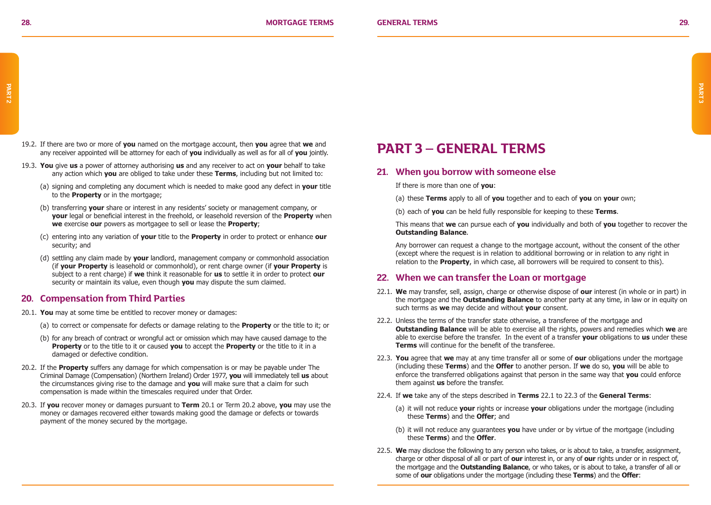- 19.2. If there are two or more of **you** named on the mortgage account, then **you** agree that **we** and any receiver appointed will be attorney for each of **you** individually as well as for all of **you** jointly.
- 19.3. **You** give **us** a power of attorney authorising **us** and any receiver to act on **your** behalf to take any action which **you** are obliged to take under these **Terms**, including but not limited to:
	- (a) signing and completing any document which is needed to make good any defect in **your** title to the **Property** or in the mortgage:
	- (b) transferring **your** share or interest in any residents' society or management company, or **your** legal or beneficial interest in the freehold, or leasehold reversion of the **Property** when **we** exercise **our** powers as mortgagee to sell or lease the **Property**;
	- (c) entering into any variation of **your** title to the **Property** in order to protect or enhance **our** security; and
	- (d) settling any claim made by **your** landlord, management company or commonhold association (if **your Property** is leasehold or commonhold), or rent charge owner (if **your Property** is subject to a rent charge) if **we** think it reasonable for **us** to settle it in order to protect **our** security or maintain its value, even though **you** may dispute the sum claimed.

### **20. Compensation from Third Parties**

- 20.1. **You** may at some time be entitled to recover money or damages:
	- (a) to correct or compensate for defects or damage relating to the **Property** or the title to it; or
	- (b) for any breach of contract or wrongful act or omission which may have caused damage to the **Property** or to the title to it or caused **you** to accept the **Property** or the title to it in a damaged or defective condition.
- 20.2. If the **Property** suffers any damage for which compensation is or may be payable under The Criminal Damage (Compensation) (Northern Ireland) Order 1977, **you** will immediately tell **us** about the circumstances giving rise to the damage and **you** will make sure that a claim for such compensation is made within the timescales required under that Order.
- 20.3. If **you** recover money or damages pursuant to **Term** 20.1 or Term 20.2 above, **you** may use the money or damages recovered either towards making good the damage or defects or towards payment of the money secured by the mortgage.

## **PART 3 – GENERAL TERMS**

### **21. When you borrow with someone else**

If there is more than one of **you**:

- (a) these **Terms** apply to all of **you** together and to each of **you** on **your** own;
- (b) each of **you** can be held fully responsible for keeping to these **Terms**.

This means that **we** can pursue each of **you** individually and both of **you** together to recover the **Outstanding Balance**.

Any borrower can request a change to the mortgage account, without the consent of the other (except where the request is in relation to additional borrowing or in relation to any right in relation to the **Property**, in which case, all borrowers will be required to consent to this).

### **22. When we can transfer the Loan or mortgage**

- 22.1. **We** may transfer, sell, assign, charge or otherwise dispose of **our** interest (in whole or in part) in the mortgage and the **Outstanding Balance** to another party at any time, in law or in equity on such terms as **we** may decide and without **your** consent.
- 22.2. Unless the terms of the transfer state otherwise, a transferee of the mortgage and **Outstanding Balance** will be able to exercise all the rights, powers and remedies which **we** are able to exercise before the transfer. In the event of a transfer **your** obligations to **us** under these **Terms** will continue for the benefit of the transferee.
- 22.3. **You** agree that **we** may at any time transfer all or some of **our** obligations under the mortgage (including these **Terms**) and the **Offer** to another person. If **we** do so, **you** will be able to enforce the transferred obligations against that person in the same way that **you** could enforce them against **us** before the transfer.
- 22.4. If **we** take any of the steps described in **Terms** 22.1 to 22.3 of the **General Terms**:
	- (a) it will not reduce **your** rights or increase **your** obligations under the mortgage (including these **Terms**) and the **Offer**; and
	- (b) it will not reduce any guarantees **you** have under or by virtue of the mortgage (including these **Terms**) and the **Offer**.
- 22.5. **We** may disclose the following to any person who takes, or is about to take, a transfer, assignment, charge or other disposal of all or part of **our** interest in, or any of **our** rights under or in respect of, the mortgage and the **Outstanding Balance**, or who takes, or is about to take, a transfer of all or some of **our** obligations under the mortgage (including these **Terms**) and the **Offer**: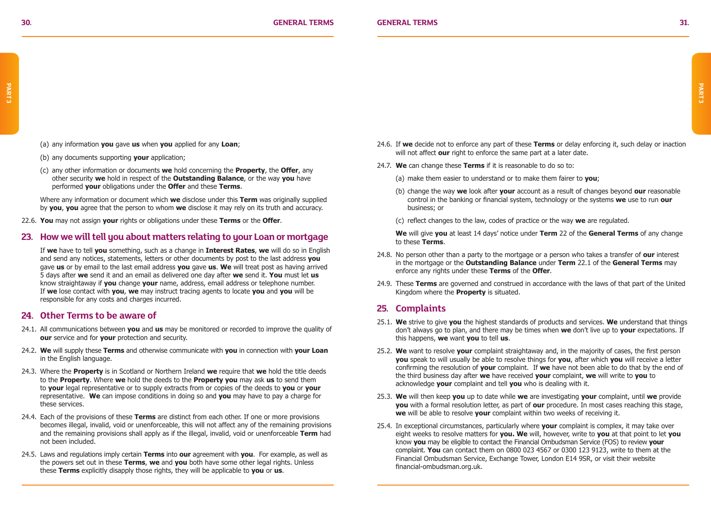- (a) any information **you** gave **us** when **you** applied for any **Loan**;
- (b) any documents supporting **your** application;
- (c) any other information or documents **we** hold concerning the **Property**, the **Offer**, any other security **we** hold in respect of the **Outstanding Balance**, or the way **you** have performed **your** obligations under the **Offer** and these **Terms**.

Where any information or document which **we** disclose under this **Term** was originally supplied by **you**, **you** agree that the person to whom **we** disclose it may rely on its truth and accuracy.

22.6. **You** may not assign **your** rights or obligations under these **Terms** or the **Offer**.

### **23. How we will tell you about matters relating to your Loan or mortgage**

If **we** have to tell **you** something, such as a change in **Interest Rates**, **we** will do so in English and send any notices, statements, letters or other documents by post to the last address **you** gave **us** or by email to the last email address **you** gave **us**. **We** will treat post as having arrived 5 days after **we** send it and an email as delivered one day after **we** send it. **You** must let **us** know straightaway if **you** change **your** name, address, email address or telephone number. If **we** lose contact with **you**, **we** may instruct tracing agents to locate **you** and **you** will be responsible for any costs and charges incurred.

### **24. Other Terms to be aware of**

- 24.1. All communications between **you** and **us** may be monitored or recorded to improve the quality of **our** service and for **your** protection and security.
- 24.2. **We** will supply these **Terms** and otherwise communicate with **you** in connection with **your Loan** in the English language.
- 24.3. Where the **Property** is in Scotland or Northern Ireland **we** require that **we** hold the title deeds to the **Property**. Where **we** hold the deeds to the **Property you** may ask **us** to send them to **your** legal representative or to supply extracts from or copies of the deeds to **you** or **your** representative. **We** can impose conditions in doing so and **you** may have to pay a charge for these services.
- 24.4. Each of the provisions of these **Terms** are distinct from each other. If one or more provisions becomes illegal, invalid, void or unenforceable, this will not affect any of the remaining provisions and the remaining provisions shall apply as if the illegal, invalid, void or unenforceable **Term** had not been included.
- 24.5. Laws and regulations imply certain **Terms** into **our** agreement with **you**. For example, as well as the powers set out in these **Terms**, **we** and **you** both have some other legal rights. Unless these **Terms** explicitly disapply those rights, they will be applicable to **you** or **us**.
- 24.6. If **we** decide not to enforce any part of these **Terms** or delay enforcing it, such delay or inaction will not affect **our** right to enforce the same part at a later date.
- 24.7. **We** can change these **Terms** if it is reasonable to do so to:
	- (a) make them easier to understand or to make them fairer to **you**;
	- (b) change the way **we** look after **your** account as a result of changes beyond **our** reasonable control in the banking or financial system, technology or the systems **we** use to run **our** business; or
	- (c) reflect changes to the law, codes of practice or the way **we** are regulated.

**We** will give **you** at least 14 days' notice under **Term** 22 of the **General Terms** of any change to these **Terms**.

- 24.8. No person other than a party to the mortgage or a person who takes a transfer of **our** interest in the mortgage or the **Outstanding Balance** under **Term** 22.1 of the **General Terms** may enforce any rights under these **Terms** of the **Offer**.
- 24.9. These **Terms** are governed and construed in accordance with the laws of that part of the United Kingdom where the **Property** is situated.

### **25. Complaints**

- 25.1. **We** strive to give **you** the highest standards of products and services. **We** understand that things don't always go to plan, and there may be times when **we** don't live up to **your** expectations. If this happens, **we** want **you** to tell **us**.
- 25.2. **We** want to resolve **your** complaint straightaway and, in the majority of cases, the first person **you** speak to will usually be able to resolve things for **you**, after which **you** will receive a letter confirming the resolution of **your** complaint. If **we** have not been able to do that by the end of the third business day after **we** have received **your** complaint, **we** will write to **you** to acknowledge **your** complaint and tell **you** who is dealing with it.
- 25.3. **We** will then keep **you** up to date while **we** are investigating **your** complaint, until **we** provide **you** with a formal resolution letter, as part of **our** procedure. In most cases reaching this stage, **we** will be able to resolve **your** complaint within two weeks of receiving it.
- 25.4. In exceptional circumstances, particularly where **your** complaint is complex, it may take over eight weeks to resolve matters for **you. We** will, however, write to **you** at that point to let **you** know **you** may be eligible to contact the Financial Ombudsman Service (FOS) to review **your**  complaint. **You** can contact them on 0800 023 4567 or 0300 123 9123, write to them at the Financial Ombudsman Service, Exchange Tower, London E14 9SR, or visit their website financial-ombudsman.org.uk.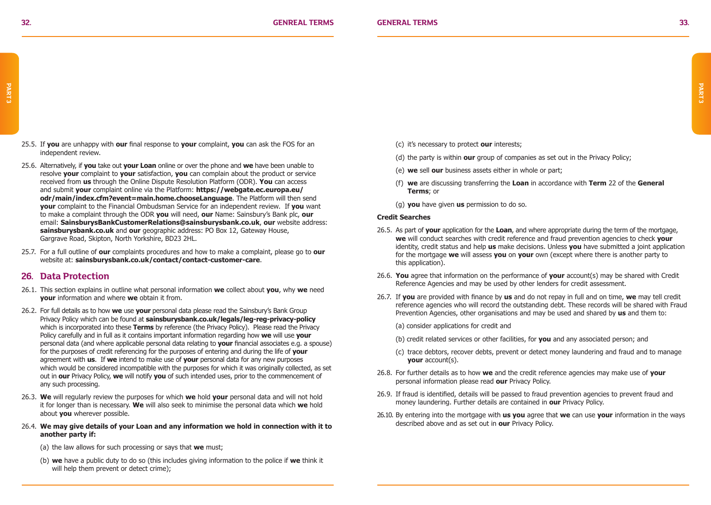- 25.5. If **you** are unhappy with **our** final response to **your** complaint, **you** can ask the FOS for an independent review.
- 25.6. Alternatively, if **you** take out **your Loan** online or over the phone and **we** have been unable to resolve **your** complaint to **your** satisfaction, **you** can complain about the product or service received from **us** through the Online Dispute Resolution Platform (ODR). **You** can access and submit **your** complaint online via the Platform: **https://webgate.ec.europa.eu/ odr/main/index.cfm?event=main.home.chooseLanguage**. The Platform will then send **your** complaint to the Financial Ombudsman Service for an independent review. If **you** want to make a complaint through the ODR **you** will need, **our** Name: Sainsbury's Bank plc, **our** email: **SainsburysBankCustomerRelations@sainsburysbank.co.uk**, **our** website address: **sainsburysbank.co.uk** and **our** geographic address: PO Box 12, Gateway House, Gargrave Road, Skipton, North Yorkshire, BD23 2HL.
- 25.7. For a full outline of **our** complaints procedures and how to make a complaint, please go to **our** website at: **sainsburysbank.co.uk/contact/contact-customer-care**.

### **26. Data Protection**

- 26.1. This section explains in outline what personal information **we** collect about **you**, why **we** need **your** information and where **we** obtain it from.
- 26.2. For full details as to how **we** use **your** personal data please read the Sainsbury's Bank Group Privacy Policy which can be found at **sainsburysbank.co.uk/legals/leg-reg-privacy-policy** which is incorporated into these **Terms** by reference (the Privacy Policy). Please read the Privacy Policy carefully and in full as it contains important information regarding how **we** will use **your**  personal data (and where applicable personal data relating to **your** financial associates e.g. a spouse) for the purposes of credit referencing for the purposes of entering and during the life of **your** agreement with **us**. If **we** intend to make use of **your** personal data for any new purposes which would be considered incompatible with the purposes for which it was originally collected, as set out in **our** Privacy Policy, **we** will notify **you** of such intended uses, prior to the commencement of any such processing.
- 26.3. **We** will regularly review the purposes for which **we** hold **your** personal data and will not hold it for longer than is necessary. **We** will also seek to minimise the personal data which **we** hold about **you** wherever possible.

#### 26.4. **We may give details of your Loan and any information we hold in connection with it to another party if:**

- (a) the law allows for such processing or says that **we** must;
- (b) **we** have a public duty to do so (this includes giving information to the police if **we** think it will help them prevent or detect crime);
- (c) it's necessary to protect **our** interests;
- (d) the party is within **our** group of companies as set out in the Privacy Policy;
- (e) **we** sell **our** business assets either in whole or part;
- (f) **we** are discussing transferring the **Loan** in accordance with **Term** 22 of the **General Terms**; or
- (g) **you** have given **us** permission to do so.

#### **Credit Searches**

- 26.5. As part of **your** application for the **Loan**, and where appropriate during the term of the mortgage, **we** will conduct searches with credit reference and fraud prevention agencies to check **your** identity, credit status and help **us** make decisions. Unless **you** have submitted a joint application for the mortgage **we** will assess **you** on **your** own (except where there is another party to this application).
- 26.6. **You** agree that information on the performance of **your** account(s) may be shared with Credit Reference Agencies and may be used by other lenders for credit assessment.
- 26.7. If **you** are provided with finance by **us** and do not repay in full and on time, **we** may tell credit reference agencies who will record the outstanding debt. These records will be shared with Fraud Prevention Agencies, other organisations and may be used and shared by **us** and them to:
	- (a) consider applications for credit and
	- (b) credit related services or other facilities, for **you** and any associated person; and
	- (c) trace debtors, recover debts, prevent or detect money laundering and fraud and to manage **your** account(s).
- 26.8. For further details as to how **we** and the credit reference agencies may make use of **your** personal information please read **our** Privacy Policy.
- 26.9. If fraud is identified, details will be passed to fraud prevention agencies to prevent fraud and money laundering. Further details are contained in **our** Privacy Policy.
- 26.10. By entering into the mortgage with **us you** agree that **we** can use **your** information in the ways described above and as set out in **our** Privacy Policy.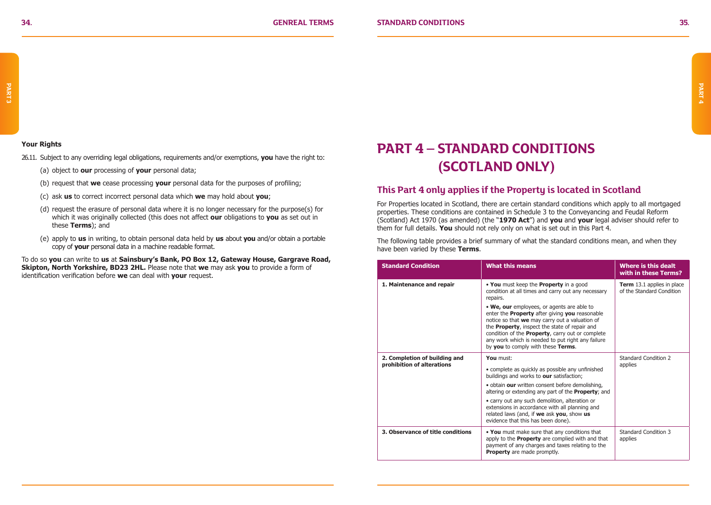### **Your Rights**

- 26.11. Subject to any overriding legal obligations, requirements and/or exemptions, **you** have the right to:
	- (a) object to **our** processing of **your** personal data;
	- (b) request that **we** cease processing **your** personal data for the purposes of profiling;
	- (c) ask **us** to correct incorrect personal data which **we** may hold about **you**;
	- (d) request the erasure of personal data where it is no longer necessary for the purpose(s) for which it was originally collected (this does not affect **our** obligations to **you** as set out in these **Terms**); and
	- (e) apply to **us** in writing, to obtain personal data held by **us** about **you** and/or obtain a portable copy of **your** personal data in a machine readable format.

To do so **you** can write to **us** at **Sainsbury's Bank, PO Box 12, Gateway House, Gargrave Road, Skipton, North Yorkshire, BD23 2HL.** Please note that **we** may ask **you** to provide a form of identification verification before **we** can deal with **your** request.

## **PART 4 – STANDARD CONDITIONS (SCOTLAND ONLY)**

### **This Part 4 only applies if the Property is located in Scotland**

For Properties located in Scotland, there are certain standard conditions which apply to all mortgaged properties. These conditions are contained in Schedule 3 to the Conveyancing and Feudal Reform (Scotland) Act 1970 (as amended) (the "**1970 Act**") and **you** and **your** legal adviser should refer to them for full details. **You** should not rely only on what is set out in this Part 4.

The following table provides a brief summary of what the standard conditions mean, and when they have been varied by these **Terms**.

| <b>Standard Condition</b>                                   | <b>What this means</b>                                                                                                                                                                                                                                                                                                                                                                                                                                                    | Where is this dealt<br>with in these Terms?                    |
|-------------------------------------------------------------|---------------------------------------------------------------------------------------------------------------------------------------------------------------------------------------------------------------------------------------------------------------------------------------------------------------------------------------------------------------------------------------------------------------------------------------------------------------------------|----------------------------------------------------------------|
| 1. Maintenance and repair                                   | . You must keep the Property in a good<br>condition at all times and carry out any necessary<br>repairs.<br>. We, our employees, or agents are able to<br>enter the <b>Property</b> after giving you reasonable<br>notice so that we may carry out a valuation of<br>the Property, inspect the state of repair and<br>condition of the <b>Property</b> , carry out or complete<br>any work which is needed to put right any failure<br>by you to comply with these Terms. | <b>Term</b> 13.1 applies in place<br>of the Standard Condition |
| 2. Completion of building and<br>prohibition of alterations | You must:<br>• complete as quickly as possible any unfinished<br>buildings and works to our satisfaction;<br>· obtain our written consent before demolishing,<br>altering or extending any part of the <b>Property</b> ; and<br>• carry out any such demolition, alteration or<br>extensions in accordance with all planning and<br>related laws (and, if we ask you, show us<br>evidence that this has been done).                                                       | Standard Condition 2<br>applies                                |
| 3. Observance of title conditions                           | . You must make sure that any conditions that<br>apply to the Property are complied with and that<br>payment of any charges and taxes relating to the<br><b>Property</b> are made promptly.                                                                                                                                                                                                                                                                               | Standard Condition 3<br>applies                                |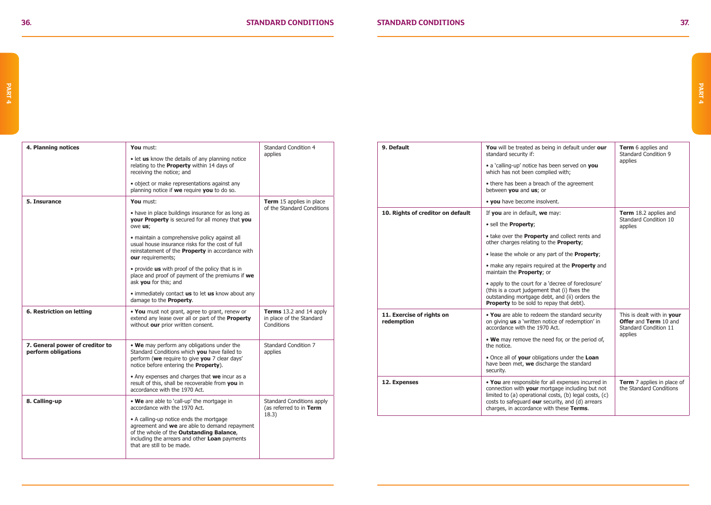$\Gamma$ 

| Standard Condition 4<br>Term 15 applies in place<br>of the Standard Conditions |
|--------------------------------------------------------------------------------|
|                                                                                |
|                                                                                |
|                                                                                |
|                                                                                |
|                                                                                |
|                                                                                |
|                                                                                |
|                                                                                |
| Terms 13.2 and 14 apply<br>in place of the Standard                            |
| Standard Condition 7                                                           |
|                                                                                |
| Standard Conditions apply<br>(as referred to in Term                           |
|                                                                                |
|                                                                                |

| 9. Default                              | <b>You</b> will be treated as being in default under our<br>standard security if:                                                                                                                                                                               | <b>Term</b> 6 applies and<br>Standard Condition 9                            |  |
|-----------------------------------------|-----------------------------------------------------------------------------------------------------------------------------------------------------------------------------------------------------------------------------------------------------------------|------------------------------------------------------------------------------|--|
|                                         | • a 'calling-up' notice has been served on you<br>which has not been complied with;                                                                                                                                                                             | applies                                                                      |  |
|                                         | • there has been a breach of the agreement<br>between you and us; or                                                                                                                                                                                            |                                                                              |  |
|                                         | • you have become insolvent.                                                                                                                                                                                                                                    |                                                                              |  |
| 10. Rights of creditor on default       | If you are in default, we may:                                                                                                                                                                                                                                  | Term 18.2 applies and<br>Standard Condition 10                               |  |
|                                         | · sell the Property;                                                                                                                                                                                                                                            | applies                                                                      |  |
|                                         | • take over the <b>Property</b> and collect rents and<br>other charges relating to the Property;                                                                                                                                                                |                                                                              |  |
|                                         | . lease the whole or any part of the <b>Property</b> ;                                                                                                                                                                                                          |                                                                              |  |
|                                         | • make any repairs required at the <b>Property</b> and<br>maintain the Property; or                                                                                                                                                                             |                                                                              |  |
|                                         | • apply to the court for a 'decree of foreclosure'<br>(this is a court judgement that (i) fixes the<br>outstanding mortgage debt, and (ii) orders the<br><b>Property</b> to be sold to repay that debt).                                                        |                                                                              |  |
| 11. Exercise of rights on<br>redemption | . You are able to redeem the standard security<br>on giving us a 'written notice of redemption' in<br>accordance with the 1970 Act.                                                                                                                             | This is dealt with in your<br>Offer and Term 10 and<br>Standard Condition 11 |  |
|                                         | . We may remove the need for, or the period of,<br>the notice.                                                                                                                                                                                                  | applies                                                                      |  |
|                                         | . Once all of your obligations under the Loan<br>have been met, we discharge the standard<br>security.                                                                                                                                                          |                                                                              |  |
| 12. Expenses                            | . You are responsible for all expenses incurred in<br>connection with your mortgage including but not<br>limited to (a) operational costs, (b) legal costs, (c)<br>costs to safeguard our security, and (d) arrears<br>charges, in accordance with these Terms. | <b>Term</b> 7 applies in place of<br>the Standard Conditions                 |  |